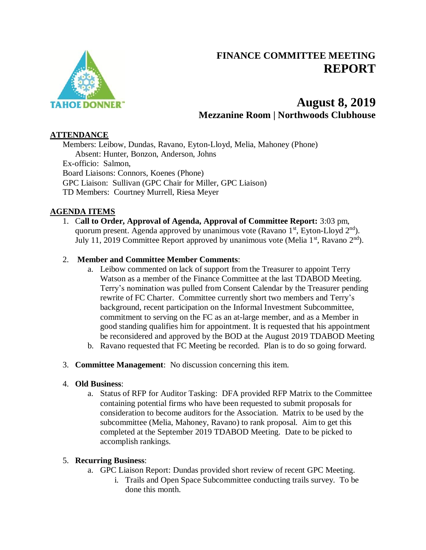

# **FINANCE COMMITTEE MEETING REPORT**

# **August 8, 2019 Mezzanine Room | Northwoods Clubhouse**

#### **ATTENDANCE**

Members: Leibow, Dundas, Ravano, Eyton-Lloyd, Melia, Mahoney (Phone) Absent: Hunter, Bonzon, Anderson, Johns Ex-officio: Salmon, Board Liaisons: Connors, Koenes (Phone) GPC Liaison: Sullivan (GPC Chair for Miller, GPC Liaison) TD Members: Courtney Murrell, Riesa Meyer

## **AGENDA ITEMS**

1. C**all to Order, Approval of Agenda, Approval of Committee Report:** 3:03 pm, quorum present. Agenda approved by unanimous vote (Ravano  $1<sup>st</sup>$ , Eyton-Lloyd  $2<sup>nd</sup>$ ). July 11, 2019 Committee Report approved by unanimous vote (Melia  $1<sup>st</sup>$ , Ravano  $2<sup>nd</sup>$ ).

## 2. **Member and Committee Member Comments**:

- a. Leibow commented on lack of support from the Treasurer to appoint Terry Watson as a member of the Finance Committee at the last TDABOD Meeting. Terry's nomination was pulled from Consent Calendar by the Treasurer pending rewrite of FC Charter. Committee currently short two members and Terry's background, recent participation on the Informal Investment Subcommittee, commitment to serving on the FC as an at-large member, and as a Member in good standing qualifies him for appointment. It is requested that his appointment be reconsidered and approved by the BOD at the August 2019 TDABOD Meeting
- b. Ravano requested that FC Meeting be recorded. Plan is to do so going forward.
- 3. **Committee Management**: No discussion concerning this item.

#### 4. **Old Business**:

a. Status of RFP for Auditor Tasking: DFA provided RFP Matrix to the Committee containing potential firms who have been requested to submit proposals for consideration to become auditors for the Association. Matrix to be used by the subcommittee (Melia, Mahoney, Ravano) to rank proposal. Aim to get this completed at the September 2019 TDABOD Meeting. Date to be picked to accomplish rankings.

#### 5. **Recurring Business**:

- a. GPC Liaison Report: Dundas provided short review of recent GPC Meeting.
	- i. Trails and Open Space Subcommittee conducting trails survey. To be done this month.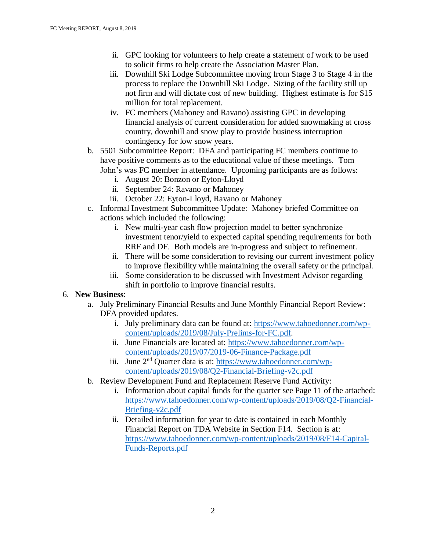- ii. GPC looking for volunteers to help create a statement of work to be used to solicit firms to help create the Association Master Plan.
- iii. Downhill Ski Lodge Subcommittee moving from Stage 3 to Stage 4 in the process to replace the Downhill Ski Lodge. Sizing of the facility still up not firm and will dictate cost of new building. Highest estimate is for \$15 million for total replacement.
- iv. FC members (Mahoney and Ravano) assisting GPC in developing financial analysis of current consideration for added snowmaking at cross country, downhill and snow play to provide business interruption contingency for low snow years.
- b. 5501 Subcommittee Report: DFA and participating FC members continue to have positive comments as to the educational value of these meetings. Tom John's was FC member in attendance. Upcoming participants are as follows:
	- i. August 20: Bonzon or Eyton-Lloyd
	- ii. September 24: Ravano or Mahoney
	- iii. October 22: Eyton-Lloyd, Ravano or Mahoney
- c. Informal Investment Subcommittee Update: Mahoney briefed Committee on actions which included the following:
	- i. New multi-year cash flow projection model to better synchronize investment tenor/yield to expected capital spending requirements for both RRF and DF. Both models are in-progress and subject to refinement.
	- ii. There will be some consideration to revising our current investment policy to improve flexibility while maintaining the overall safety or the principal.
	- iii. Some consideration to be discussed with Investment Advisor regarding shift in portfolio to improve financial results.

#### 6. **New Business**:

- a. July Preliminary Financial Results and June Monthly Financial Report Review: DFA provided updates.
	- i. July preliminary data can be found at: [https://www.tahoedonner.com/wp](https://www.tahoedonner.com/wp-content/uploads/2019/08/July-Prelims-for-FC.pdf)[content/uploads/2019/08/July-Prelims-for-FC.pdf.](https://www.tahoedonner.com/wp-content/uploads/2019/08/July-Prelims-for-FC.pdf)
	- ii. June Financials are located at: [https://www.tahoedonner.com/wp](https://www.tahoedonner.com/wp-content/uploads/2019/07/2019-06-Finance-Package.pdf)[content/uploads/2019/07/2019-06-Finance-Package.pdf](https://www.tahoedonner.com/wp-content/uploads/2019/07/2019-06-Finance-Package.pdf)
	- iii. June 2<sup>nd</sup> Quarter data is at: [https://www.tahoedonner.com/wp](https://www.tahoedonner.com/wp-content/uploads/2019/08/Q2-Financial-Briefing-v2c.pdf)[content/uploads/2019/08/Q2-Financial-Briefing-v2c.pdf](https://www.tahoedonner.com/wp-content/uploads/2019/08/Q2-Financial-Briefing-v2c.pdf)
- b. Review Development Fund and Replacement Reserve Fund Activity:
	- i. Information about capital funds for the quarter see Page 11 of the attached: [https://www.tahoedonner.com/wp-content/uploads/2019/08/Q2-Financial-](https://www.tahoedonner.com/wp-content/uploads/2019/08/Q2-Financial-Briefing-v2c.pdf)[Briefing-v2c.pdf](https://www.tahoedonner.com/wp-content/uploads/2019/08/Q2-Financial-Briefing-v2c.pdf)
	- ii. Detailed information for year to date is contained in each Monthly Financial Report on TDA Website in Section F14. Section is at: [https://www.tahoedonner.com/wp-content/uploads/2019/08/F14-Capital-](https://www.tahoedonner.com/wp-content/uploads/2019/08/F14-Capital-Funds-Reports.pdf)[Funds-Reports.pdf](https://www.tahoedonner.com/wp-content/uploads/2019/08/F14-Capital-Funds-Reports.pdf)